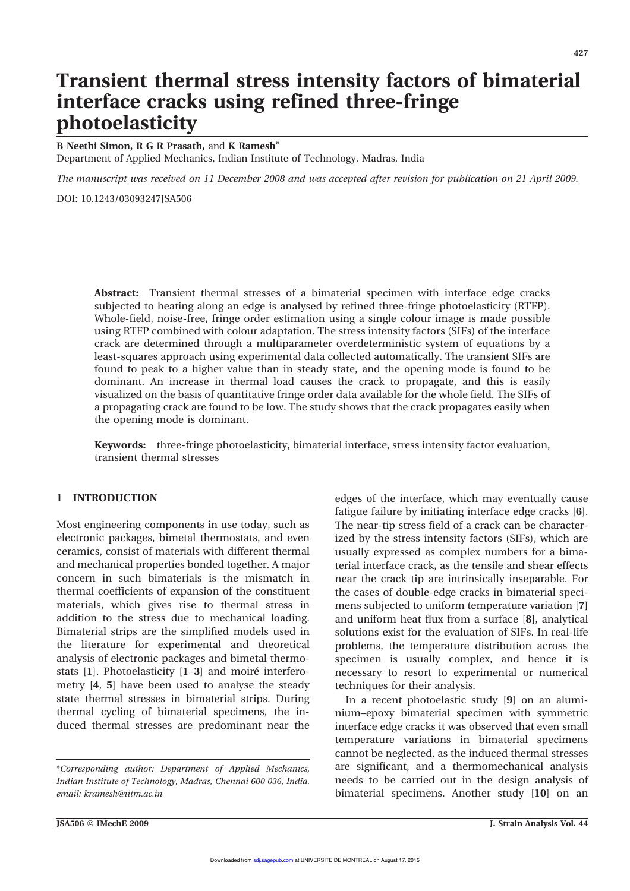# Transient thermal stress intensity factors of bimaterial interface cracks using refined three-fringe photoelasticity

B Neethi Simon, R G R Prasath, and K Ramesh\*

Department of Applied Mechanics, Indian Institute of Technology, Madras, India

The manuscript was received on 11 December 2008 and was accepted after revision for publication on 21 April 2009.

DOI: 10.1243/03093247JSA506

Abstract: Transient thermal stresses of a bimaterial specimen with interface edge cracks subjected to heating along an edge is analysed by refined three-fringe photoelasticity (RTFP). Whole-field, noise-free, fringe order estimation using a single colour image is made possible using RTFP combined with colour adaptation. The stress intensity factors (SIFs) of the interface crack are determined through a multiparameter overdeterministic system of equations by a least-squares approach using experimental data collected automatically. The transient SIFs are found to peak to a higher value than in steady state, and the opening mode is found to be dominant. An increase in thermal load causes the crack to propagate, and this is easily visualized on the basis of quantitative fringe order data available for the whole field. The SIFs of a propagating crack are found to be low. The study shows that the crack propagates easily when the opening mode is dominant.

Keywords: three-fringe photoelasticity, bimaterial interface, stress intensity factor evaluation, transient thermal stresses

# 1 INTRODUCTION

Most engineering components in use today, such as electronic packages, bimetal thermostats, and even ceramics, consist of materials with different thermal and mechanical properties bonded together. A major concern in such bimaterials is the mismatch in thermal coefficients of expansion of the constituent materials, which gives rise to thermal stress in addition to the stress due to mechanical loading. Bimaterial strips are the simplified models used in the literature for experimental and theoretical analysis of electronic packages and bimetal thermostats  $[1]$ . Photoelasticity  $[1-3]$  and moiré interferometry [4, 5] have been used to analyse the steady state thermal stresses in bimaterial strips. During thermal cycling of bimaterial specimens, the induced thermal stresses are predominant near the

\*Corresponding author: Department of Applied Mechanics, Indian Institute of Technology, Madras, Chennai 600 036, India. email: kramesh@iitm.ac.in

edges of the interface, which may eventually cause fatigue failure by initiating interface edge cracks [6]. The near-tip stress field of a crack can be characterized by the stress intensity factors (SIFs), which are usually expressed as complex numbers for a bimaterial interface crack, as the tensile and shear effects near the crack tip are intrinsically inseparable. For the cases of double-edge cracks in bimaterial specimens subjected to uniform temperature variation [7] and uniform heat flux from a surface [8], analytical solutions exist for the evaluation of SIFs. In real-life problems, the temperature distribution across the specimen is usually complex, and hence it is necessary to resort to experimental or numerical techniques for their analysis.

In a recent photoelastic study [9] on an aluminium–epoxy bimaterial specimen with symmetric interface edge cracks it was observed that even small temperature variations in bimaterial specimens cannot be neglected, as the induced thermal stresses are significant, and a thermomechanical analysis needs to be carried out in the design analysis of bimaterial specimens. Another study [10] on an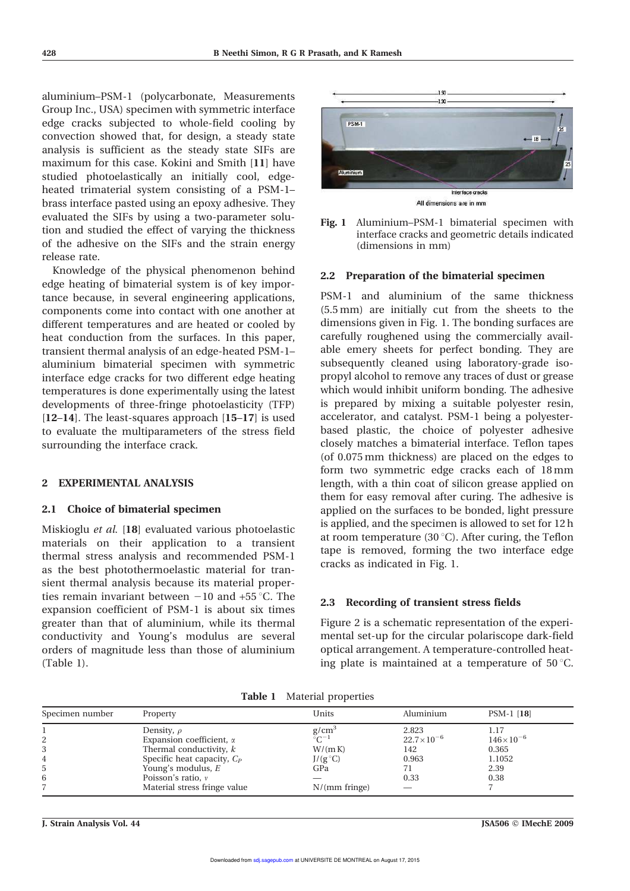aluminium–PSM-1 (polycarbonate, Measurements Group Inc., USA) specimen with symmetric interface edge cracks subjected to whole-field cooling by convection showed that, for design, a steady state analysis is sufficient as the steady state SIFs are maximum for this case. Kokini and Smith [11] have studied photoelastically an initially cool, edgeheated trimaterial system consisting of a PSM-1– brass interface pasted using an epoxy adhesive. They evaluated the SIFs by using a two-parameter solution and studied the effect of varying the thickness of the adhesive on the SIFs and the strain energy release rate.

Knowledge of the physical phenomenon behind edge heating of bimaterial system is of key importance because, in several engineering applications, components come into contact with one another at different temperatures and are heated or cooled by heat conduction from the surfaces. In this paper, transient thermal analysis of an edge-heated PSM-1– aluminium bimaterial specimen with symmetric interface edge cracks for two different edge heating temperatures is done experimentally using the latest developments of three-fringe photoelasticity (TFP) [12–14]. The least-squares approach [15–17] is used to evaluate the multiparameters of the stress field surrounding the interface crack.

#### 2 EXPERIMENTAL ANALYSIS

#### 2.1 Choice of bimaterial specimen

Miskioglu et al. [18] evaluated various photoelastic materials on their application to a transient thermal stress analysis and recommended PSM-1 as the best photothermoelastic material for transient thermal analysis because its material properties remain invariant between  $-10$  and  $+55$  °C. The expansion coefficient of PSM-1 is about six times greater than that of aluminium, while its thermal conductivity and Young's modulus are several orders of magnitude less than those of aluminium (Table 1).





#### 2.2 Preparation of the bimaterial specimen

PSM-1 and aluminium of the same thickness (5.5 mm) are initially cut from the sheets to the dimensions given in Fig. 1. The bonding surfaces are carefully roughened using the commercially available emery sheets for perfect bonding. They are subsequently cleaned using laboratory-grade isopropyl alcohol to remove any traces of dust or grease which would inhibit uniform bonding. The adhesive is prepared by mixing a suitable polyester resin, accelerator, and catalyst. PSM-1 being a polyesterbased plastic, the choice of polyester adhesive closely matches a bimaterial interface. Teflon tapes (of 0.075 mm thickness) are placed on the edges to form two symmetric edge cracks each of 18 mm length, with a thin coat of silicon grease applied on them for easy removal after curing. The adhesive is applied on the surfaces to be bonded, light pressure is applied, and the specimen is allowed to set for 12 h at room temperature (30 $^{\circ}$ C). After curing, the Teflon tape is removed, forming the two interface edge cracks as indicated in Fig. 1.

### 2.3 Recording of transient stress fields

Figure 2 is a schematic representation of the experimental set-up for the circular polariscope dark-field optical arrangement. A temperature-controlled heating plate is maintained at a temperature of  $50^{\circ}$ C.

| Specimen number | Property                        | Units             | Aluminium           | PSM-1 [18]         |  |
|-----------------|---------------------------------|-------------------|---------------------|--------------------|--|
|                 |                                 |                   |                     |                    |  |
|                 | Density, $\rho$                 | g/cm <sup>3</sup> | 2.823               | 1.17               |  |
| 2               | Expansion coefficient, $\alpha$ | $\tilde{C}^{-1}$  | $22.7\times10^{-6}$ | $146\times10^{-6}$ |  |
|                 | Thermal conductivity, k         | W/(mK)            | 142                 | 0.365              |  |
| 4               | Specific heat capacity, $C_P$   | $J/(g^{\circ}C)$  | 0.963               | 1.1052             |  |
| 5               | Young's modulus, $E$            | GPa               |                     | 2.39               |  |
| 6               | Poisson's ratio, $\nu$          | __                | 0.33                | 0.38               |  |
|                 | Material stress fringe value    | $N/(mm$ fringe)   |                     |                    |  |

Table 1 Material properties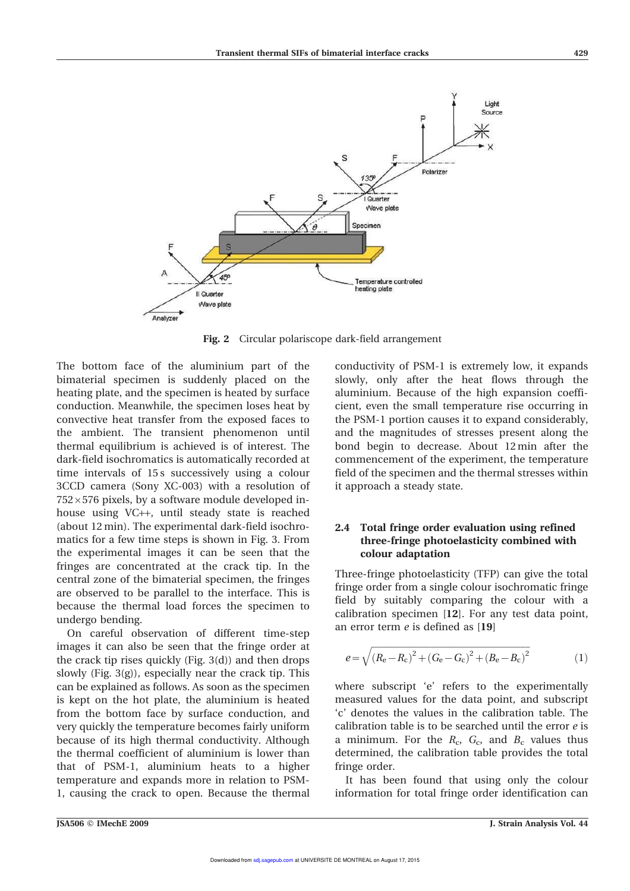

Fig. 2 Circular polariscope dark-field arrangement

The bottom face of the aluminium part of the bimaterial specimen is suddenly placed on the heating plate, and the specimen is heated by surface conduction. Meanwhile, the specimen loses heat by convective heat transfer from the exposed faces to the ambient. The transient phenomenon until thermal equilibrium is achieved is of interest. The dark-field isochromatics is automatically recorded at time intervals of 15s successively using a colour 3CCD camera (Sony XC-003) with a resolution of  $752\times576$  pixels, by a software module developed inhouse using VC++, until steady state is reached (about 12 min). The experimental dark-field isochromatics for a few time steps is shown in Fig. 3. From the experimental images it can be seen that the fringes are concentrated at the crack tip. In the central zone of the bimaterial specimen, the fringes are observed to be parallel to the interface. This is because the thermal load forces the specimen to undergo bending.

On careful observation of different time-step images it can also be seen that the fringe order at the crack tip rises quickly (Fig. 3(d)) and then drops slowly (Fig. 3(g)), especially near the crack tip. This can be explained as follows. As soon as the specimen is kept on the hot plate, the aluminium is heated from the bottom face by surface conduction, and very quickly the temperature becomes fairly uniform because of its high thermal conductivity. Although the thermal coefficient of aluminium is lower than that of PSM-1, aluminium heats to a higher temperature and expands more in relation to PSM-1, causing the crack to open. Because the thermal conductivity of PSM-1 is extremely low, it expands slowly, only after the heat flows through the aluminium. Because of the high expansion coefficient, even the small temperature rise occurring in the PSM-1 portion causes it to expand considerably, and the magnitudes of stresses present along the bond begin to decrease. About 12 min after the commencement of the experiment, the temperature field of the specimen and the thermal stresses within it approach a steady state.

# 2.4 Total fringe order evaluation using refined three-fringe photoelasticity combined with colour adaptation

Three-fringe photoelasticity (TFP) can give the total fringe order from a single colour isochromatic fringe field by suitably comparing the colour with a calibration specimen [12]. For any test data point, an error term  $e$  is defined as [19]

$$
e = \sqrt{(R_e - R_c)^2 + (G_e - G_c)^2 + (B_e - B_c)^2}
$$
 (1)

where subscript 'e' refers to the experimentally measured values for the data point, and subscript 'c' denotes the values in the calibration table. The calibration table is to be searched until the error e is a minimum. For the  $R_c$ ,  $G_c$ , and  $B_c$  values thus determined, the calibration table provides the total fringe order.

It has been found that using only the colour information for total fringe order identification can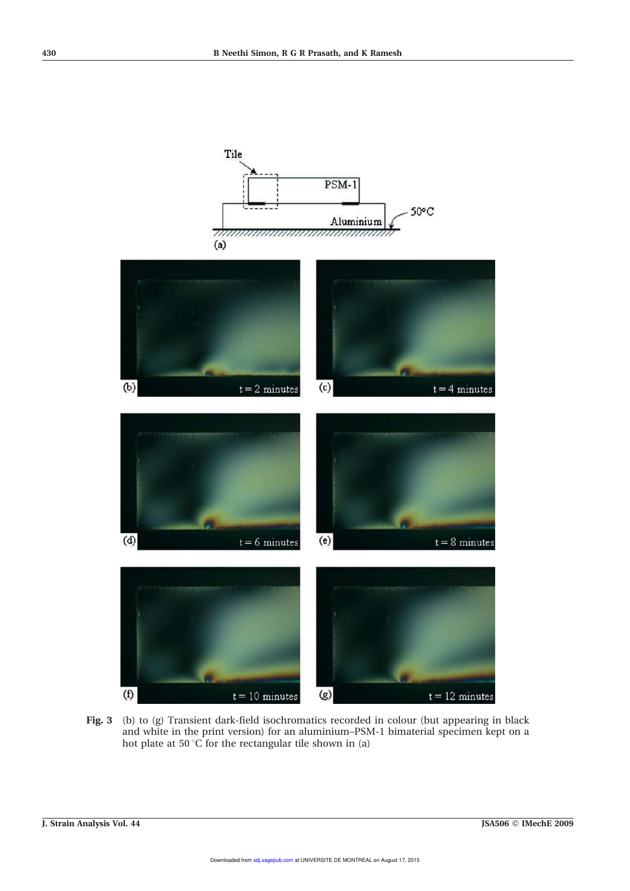

Fig. 3 (b) to (g) Transient dark-field isochromatics recorded in colour (but appearing in black and white in the print version) for an aluminium–PSM-1 bimaterial specimen kept on a hot plate at 50 °C for the rectangular tile shown in (a)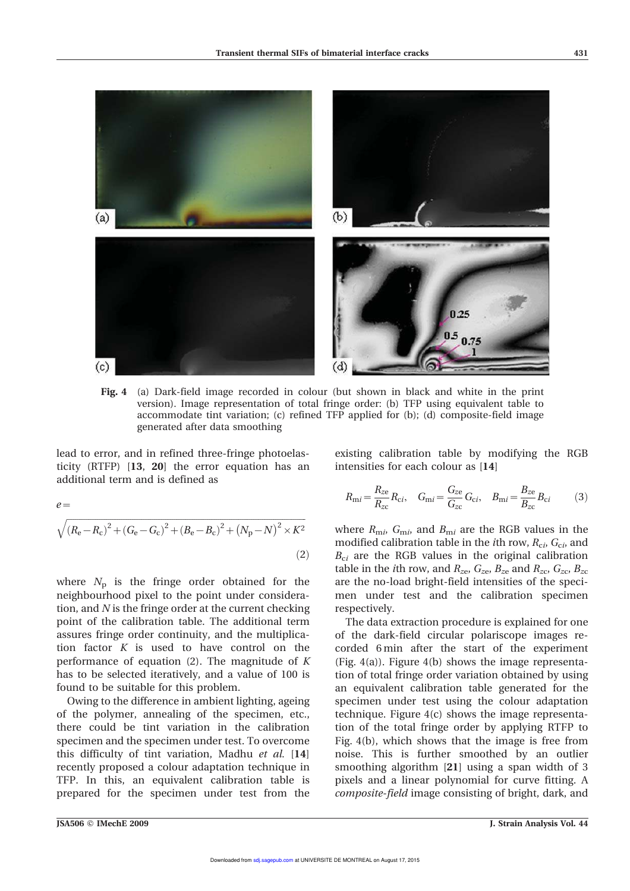

Fig. 4 (a) Dark-field image recorded in colour (but shown in black and white in the print version). Image representation of total fringe order: (b) TFP using equivalent table to accommodate tint variation; (c) refined TFP applied for (b); (d) composite-field image generated after data smoothing

lead to error, and in refined three-fringe photoelasticity (RTFP) [13, 20] the error equation has an additional term and is defined as

 $e=$ 

$$
\sqrt{(R_{\rm e}-R_{\rm c})^2 + (G_{\rm e}-G_{\rm c})^2 + (B_{\rm e}-B_{\rm c})^2 + (N_{\rm p}-N)^2 \times K^2}
$$
\n(2)

where  $N_p$  is the fringe order obtained for the neighbourhood pixel to the point under consideration, and  $N$  is the fringe order at the current checking point of the calibration table. The additional term assures fringe order continuity, and the multiplication factor  $K$  is used to have control on the performance of equation  $(2)$ . The magnitude of K has to be selected iteratively, and a value of 100 is found to be suitable for this problem.

Owing to the difference in ambient lighting, ageing of the polymer, annealing of the specimen, etc., there could be tint variation in the calibration specimen and the specimen under test. To overcome this difficulty of tint variation, Madhu et al. [14] recently proposed a colour adaptation technique in TFP. In this, an equivalent calibration table is prepared for the specimen under test from the

existing calibration table by modifying the RGB intensities for each colour as [14]

$$
R_{\rm m}i = \frac{R_{\rm ze}}{R_{\rm zc}} R_{\rm ci}, \quad G_{\rm m}i = \frac{G_{\rm ze}}{G_{\rm zc}} G_{\rm ci}, \quad B_{\rm m}i = \frac{B_{\rm ze}}{B_{\rm zc}} B_{\rm ci} \tag{3}
$$

where  $R_{\text{m}i}$ ,  $G_{\text{m}i}$ , and  $B_{\text{m}i}$  are the RGB values in the modified calibration table in the *i*th row,  $R_{\text{c}i}$ ,  $G_{\text{c}i}$ , and  $B_{ci}$  are the RGB values in the original calibration table in the *i*th row, and  $R_{ze}$ ,  $G_{ze}$ ,  $B_{ze}$  and  $R_{zc}$ ,  $G_{zc}$ ,  $B_{zc}$ are the no-load bright-field intensities of the specimen under test and the calibration specimen respectively.

The data extraction procedure is explained for one of the dark-field circular polariscope images recorded 6 min after the start of the experiment (Fig. 4(a)). Figure 4(b) shows the image representation of total fringe order variation obtained by using an equivalent calibration table generated for the specimen under test using the colour adaptation technique. Figure 4(c) shows the image representation of the total fringe order by applying RTFP to Fig. 4(b), which shows that the image is free from noise. This is further smoothed by an outlier smoothing algorithm [21] using a span width of 3 pixels and a linear polynomial for curve fitting. A composite-field image consisting of bright, dark, and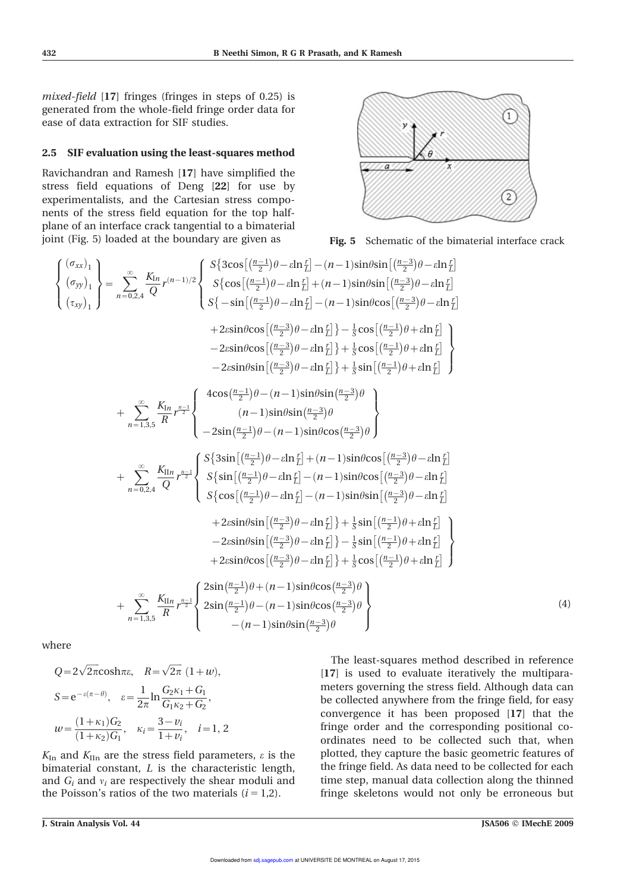mixed-field [17] fringes (fringes in steps of 0.25) is generated from the whole-field fringe order data for ease of data extraction for SIF studies.

## 2.5 SIF evaluation using the least-squares method

Ravichandran and Ramesh [17] have simplified the stress field equations of Deng [22] for use by experimentalists, and the Cartesian stress components of the stress field equation for the top halfplane of an interface crack tangential to a bimaterial joint (Fig. 5) loaded at the boundary are given as



Fig. 5 Schematic of the bimaterial interface crack

$$
\begin{cases}\n(\sigma_{xx})_1 \\
(\sigma_{yy})_1\n\end{cases} = \sum_{n=0,2,4}^{\infty} \frac{K_{ln}}{Q} r^{(n-1)/2} \begin{cases}\nS\{3\cos\left[\left(\frac{n-1}{2}\right)\theta - \sin \frac{r}{L}\right] - (n-1)\sin\theta \sin\left[\left(\frac{n-3}{2}\right)\theta - \sin \frac{r}{L}\right] \\
S\{-\sin\left[\left(\frac{n-1}{2}\right)\theta - \sin \frac{r}{L}\right] + (n-1)\sin\theta \cos\left[\left(\frac{n-3}{2}\right)\theta - \sin \frac{r}{L}\right] \\
+ 2\sin\theta \cos\left[\left(\frac{n-3}{2}\right)\theta - \sin \frac{r}{L}\right] - \frac{1}{3}\cos\left[\left(\frac{n-1}{2}\right)\theta + \sin \frac{r}{L}\right] \\
- 2\sin\theta \cos\left[\left(\frac{n-3}{2}\right)\theta - \sin \frac{r}{L}\right] + \frac{1}{3}\cos\left[\left(\frac{n-1}{2}\right)\theta + \sin \frac{r}{L}\right] \\
- 2\sin\theta \sin\left[\left(\frac{n-3}{2}\right)\theta - \sin \frac{r}{L}\right] + \frac{1}{3}\sin\left[\left(\frac{n-1}{2}\right)\theta + \sin \frac{r}{L}\right] \\
+ \sum_{n=1,3,5}^{\infty} \frac{K_{ln}}{R} r^{\frac{n-1}{2}} \begin{cases}\n4\cos\left(\frac{n-1}{2}\right)\theta - (n-1)\sin\theta \sin\left(\frac{n-3}{2}\right)\theta \\
(n-1)\sin\theta \sin\left(\frac{n-3}{2}\right)\theta \\
- 2\sin\left(\frac{n-1}{2}\right)\theta - (n-1)\sin\theta \cos\left(\frac{n-3}{2}\right)\theta\n\end{cases} \\
+ \sum_{n=0,2,4}^{\infty} \frac{K_{ln}}{Q} r^{\frac{n-1}{2}} \begin{cases}\nS\{3\sin\left[\left(\frac{n-1}{2}\right)\theta - \sin \frac{r}{L}\right] + (n-1)\sin\theta \cos\left[\left(\frac{n-3}{2}\right)\theta - \sin \frac{r}{L}\right] \\
S\{\cos\left[\left(\frac{n-1}{2}\right)\theta - \sin \frac{r}{L}\right] - (n-1)\sin\theta \cos\left[\left(\frac{n-3}{2}\right)\theta -
$$

where

$$
Q = 2\sqrt{2\pi}\cosh \pi \varepsilon, \quad R = \sqrt{2\pi} (1+w),
$$
  
\n
$$
S = e^{-\varepsilon(\pi - \theta)}, \quad \varepsilon = \frac{1}{2\pi} \ln \frac{G_2 \kappa_1 + G_1}{G_1 \kappa_2 + G_2},
$$
  
\n
$$
w = \frac{(1+\kappa_1)G_2}{(1+\kappa_2)G_1}, \quad \kappa_i = \frac{3-v_i}{1+v_i}, \quad i = 1, 2
$$

 $K_{\text{In}}$  and  $K_{\text{In}}$  are the stress field parameters,  $\varepsilon$  is the bimaterial constant, L is the characteristic length, and  $G_i$  and  $v_i$  are respectively the shear moduli and the Poisson's ratios of the two materials  $(i = 1,2)$ .

The least-squares method described in reference [17] is used to evaluate iteratively the multiparameters governing the stress field. Although data can be collected anywhere from the fringe field, for easy convergence it has been proposed [17] that the fringe order and the corresponding positional coordinates need to be collected such that, when plotted, they capture the basic geometric features of the fringe field. As data need to be collected for each time step, manual data collection along the thinned fringe skeletons would not only be erroneous but

(4)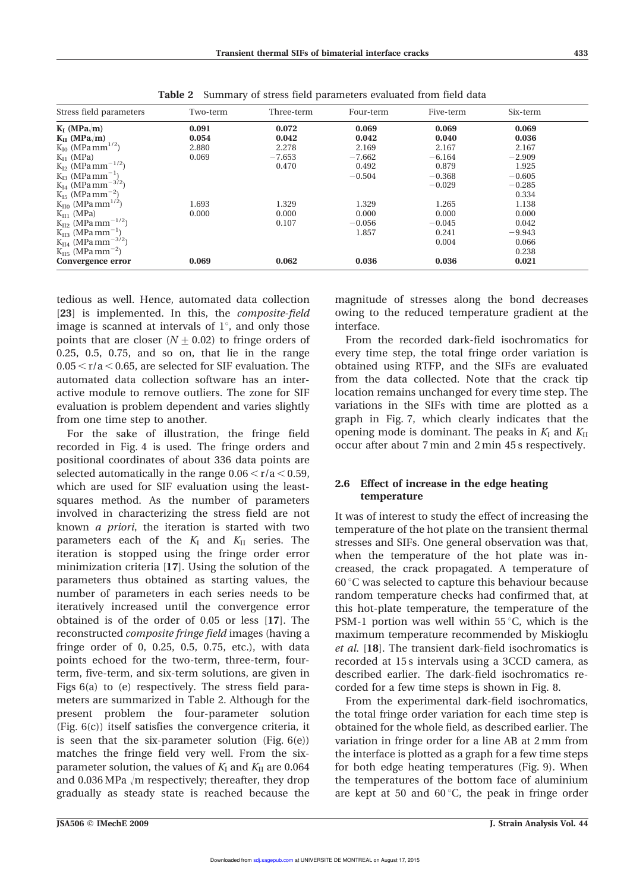| Stress field parameters                          | Two-term | Three-term | Four-term | Five-term | Six-term |  |
|--------------------------------------------------|----------|------------|-----------|-----------|----------|--|
| $K_I$ (MPa <sub><math>\langle</math></sub> m)    | 0.091    | 0.072      | 0.069     | 0.069     | 0.069    |  |
| $K_{II}$ (MPa <sub><math>\langle</math></sub> m) | 0.054    | 0.042      | 0.042     | 0.040     | 0.036    |  |
| $K_{I0}$ (MPa mm <sup>1/2</sup> )                | 2.880    | 2.278      | 2.169     | 2.167     | 2.167    |  |
| $K_{I1}$ (MPa)                                   | 0.069    | $-7.653$   | $-7.662$  | $-6.164$  | $-2.909$ |  |
| $K_{I2}$ (MPa mm <sup>-1/2</sup> )               |          | 0.470      | 0.492     | 0.879     | 1.925    |  |
| $K_{13}$ (MPa mm <sup>-1</sup> )                 |          |            | $-0.504$  | $-0.368$  | $-0.605$ |  |
| $K_{I4}$ (MPa mm <sup>-3/2</sup> )               |          |            |           | $-0.029$  | $-0.285$ |  |
| $K_{15}$ (MPa mm <sup>-2</sup> )                 |          |            |           |           | 0.334    |  |
| $K_{II0}$ (MPa mm <sup>1/2</sup> )               | 1.693    | 1.329      | 1.329     | 1.265     | 1.138    |  |
| $K_{II1}$ (MPa)                                  | 0.000    | 0.000      | 0.000     | 0.000     | 0.000    |  |
| $K_{II2}$ (MPa mm <sup>-1/2</sup> )              |          | 0.107      | $-0.056$  | $-0.045$  | 0.042    |  |
| $K_{II3}$ (MPa mm <sup>-1</sup> )                |          |            | 1.857     | 0.241     | $-9.943$ |  |
| $K_{II4}$ (MPa mm <sup>-3/2</sup> )              |          |            |           | 0.004     | 0.066    |  |
| $K_{II5}$ (MPa mm <sup>-2</sup> )                |          |            |           |           | 0.238    |  |
| Convergence error                                | 0.069    | 0.062      | 0.036     | 0.036     | 0.021    |  |

Table 2 Summary of stress field parameters evaluated from field data

tedious as well. Hence, automated data collection [23] is implemented. In this, the *composite-field* image is scanned at intervals of  $1^{\circ}$ , and only those points that are closer  $(N \pm 0.02)$  to fringe orders of 0.25, 0.5, 0.75, and so on, that lie in the range  $0.05 \le r/a \le 0.65$ , are selected for SIF evaluation. The automated data collection software has an interactive module to remove outliers. The zone for SIF evaluation is problem dependent and varies slightly from one time step to another.

For the sake of illustration, the fringe field recorded in Fig. 4 is used. The fringe orders and positional coordinates of about 336 data points are selected automatically in the range  $0.06 < r/a < 0.59$ , which are used for SIF evaluation using the leastsquares method. As the number of parameters involved in characterizing the stress field are not known a priori, the iteration is started with two parameters each of the  $K_I$  and  $K_{II}$  series. The iteration is stopped using the fringe order error minimization criteria [17]. Using the solution of the parameters thus obtained as starting values, the number of parameters in each series needs to be iteratively increased until the convergence error obtained is of the order of 0.05 or less [17]. The reconstructed composite fringe field images (having a fringe order of 0, 0.25, 0.5, 0.75, etc.), with data points echoed for the two-term, three-term, fourterm, five-term, and six-term solutions, are given in Figs 6(a) to (e) respectively. The stress field parameters are summarized in Table 2. Although for the present problem the four-parameter solution (Fig. 6(c)) itself satisfies the convergence criteria, it is seen that the six-parameter solution (Fig.  $6(e)$ ) matches the fringe field very well. From the sixparameter solution, the values of  $K_I$  and  $K_{II}$  are 0.064 and 0.036 MPa  $\sqrt{m}$  respectively; thereafter, they drop gradually as steady state is reached because the magnitude of stresses along the bond decreases owing to the reduced temperature gradient at the interface.

From the recorded dark-field isochromatics for every time step, the total fringe order variation is obtained using RTFP, and the SIFs are evaluated from the data collected. Note that the crack tip location remains unchanged for every time step. The variations in the SIFs with time are plotted as a graph in Fig. 7, which clearly indicates that the opening mode is dominant. The peaks in  $K_I$  and  $K_{II}$ occur after about 7 min and 2 min 45 s respectively.

# 2.6 Effect of increase in the edge heating temperature

It was of interest to study the effect of increasing the temperature of the hot plate on the transient thermal stresses and SIFs. One general observation was that, when the temperature of the hot plate was increased, the crack propagated. A temperature of  $60^{\circ}$ C was selected to capture this behaviour because random temperature checks had confirmed that, at this hot-plate temperature, the temperature of the PSM-1 portion was well within  $55^{\circ}$ C, which is the maximum temperature recommended by Miskioglu et al. [18]. The transient dark-field isochromatics is recorded at 15 s intervals using a 3CCD camera, as described earlier. The dark-field isochromatics recorded for a few time steps is shown in Fig. 8.

From the experimental dark-field isochromatics, the total fringe order variation for each time step is obtained for the whole field, as described earlier. The variation in fringe order for a line AB at 2 mm from the interface is plotted as a graph for a few time steps for both edge heating temperatures (Fig. 9). When the temperatures of the bottom face of aluminium are kept at 50 and  $60^{\circ}$ C, the peak in fringe order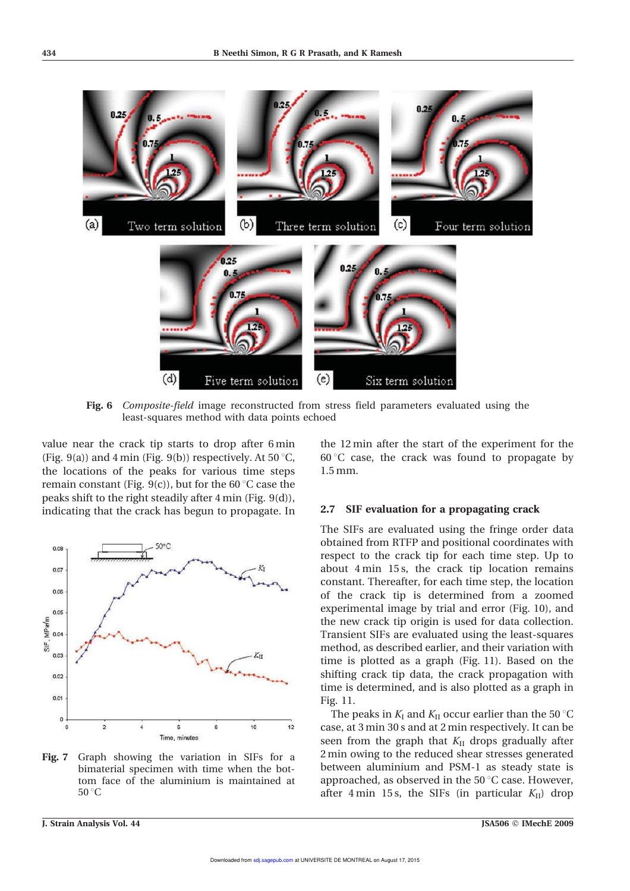

Fig. 6 Composite-field image reconstructed from stress field parameters evaluated using the least-squares method with data points echoed

value near the crack tip starts to drop after 6 min (Fig. 9(a)) and 4 min (Fig. 9(b)) respectively. At 50  $^{\circ}$ C, the locations of the peaks for various time steps remain constant (Fig. 9(c)), but for the 60  $^{\circ}$ C case the peaks shift to the right steadily after 4 min (Fig. 9(d)), indicating that the crack has begun to propagate. In



Fig. 7 Graph showing the variation in SIFs for a bimaterial specimen with time when the bottom face of the aluminium is maintained at  $50^{\circ}$ C

the 12 min after the start of the experiment for the  $60^{\circ}$ C case, the crack was found to propagate by 1.5 mm.

### 2.7 SIF evaluation for a propagating crack

The SIFs are evaluated using the fringe order data obtained from RTFP and positional coordinates with respect to the crack tip for each time step. Up to about 4 min 15 s, the crack tip location remains constant. Thereafter, for each time step, the location of the crack tip is determined from a zoomed experimental image by trial and error (Fig. 10), and the new crack tip origin is used for data collection. Transient SIFs are evaluated using the least-squares method, as described earlier, and their variation with time is plotted as a graph (Fig. 11). Based on the shifting crack tip data, the crack propagation with time is determined, and is also plotted as a graph in Fig. 11.

The peaks in  $K_I$  and  $K_{II}$  occur earlier than the 50 °C case, at 3 min 30 s and at 2 min respectively. It can be seen from the graph that  $K<sub>II</sub>$  drops gradually after 2 min owing to the reduced shear stresses generated between aluminium and PSM-1 as steady state is approached, as observed in the  $50^{\circ}$ C case. However, after 4 min 15 s, the SIFs (in particular  $K_{II}$ ) drop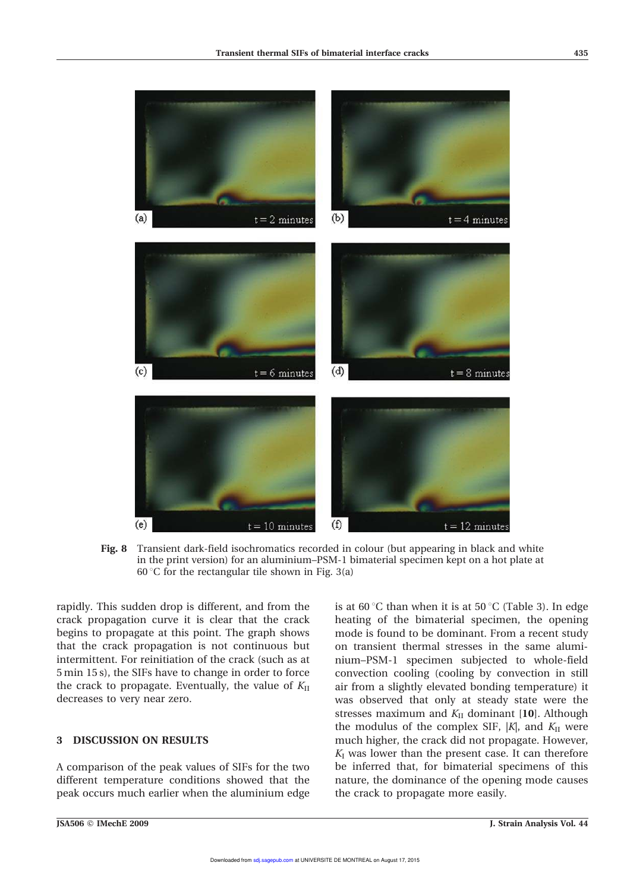

Fig. 8 Transient dark-field isochromatics recorded in colour (but appearing in black and white in the print version) for an aluminium–PSM-1 bimaterial specimen kept on a hot plate at 60 °C for the rectangular tile shown in Fig. 3(a)

rapidly. This sudden drop is different, and from the crack propagation curve it is clear that the crack begins to propagate at this point. The graph shows that the crack propagation is not continuous but intermittent. For reinitiation of the crack (such as at 5 min 15 s), the SIFs have to change in order to force the crack to propagate. Eventually, the value of  $K<sub>II</sub>$ decreases to very near zero.

# 3 DISCUSSION ON RESULTS

A comparison of the peak values of SIFs for the two different temperature conditions showed that the peak occurs much earlier when the aluminium edge is at 60 °C than when it is at 50 °C (Table 3). In edge heating of the bimaterial specimen, the opening mode is found to be dominant. From a recent study on transient thermal stresses in the same aluminium–PSM-1 specimen subjected to whole-field convection cooling (cooling by convection in still air from a slightly elevated bonding temperature) it was observed that only at steady state were the stresses maximum and  $K<sub>II</sub>$  dominant [10]. Although the modulus of the complex SIF,  $|K|$ , and  $K<sub>II</sub>$  were much higher, the crack did not propagate. However,  $K_I$  was lower than the present case. It can therefore be inferred that, for bimaterial specimens of this nature, the dominance of the opening mode causes the crack to propagate more easily.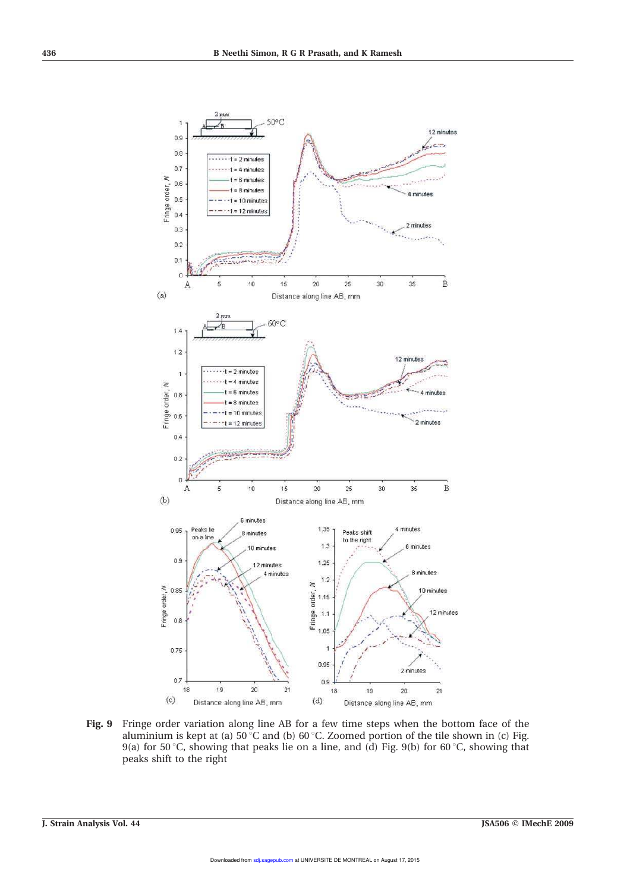

Fig. 9 Fringe order variation along line AB for a few time steps when the bottom face of the aluminium is kept at (a)  $50^{\circ}$ C and (b)  $60^{\circ}$ C. Zoomed portion of the tile shown in (c) Fig. 9(a) for 50 °C, showing that peaks lie on a line, and (d) Fig. 9(b) for 60 °C, showing that peaks shift to the right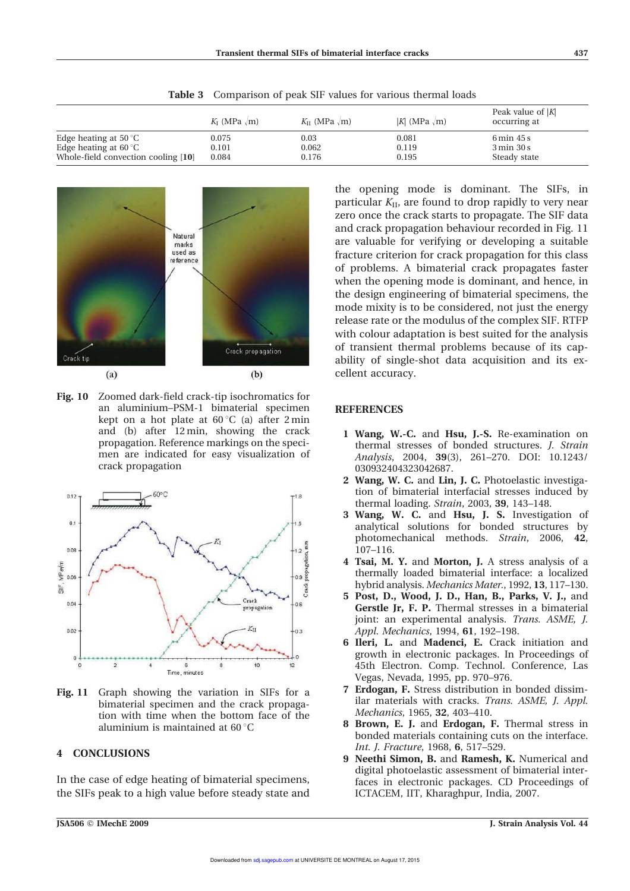|                                     | $K_I$ (MPa $\mathbf{m}$ ) | $K_{II}$ (MPa $\sqrt{m}$ ) | $ K $ (MPa $\sqrt{m}$ ) | Peak value of $ K $<br>occurring at |
|-------------------------------------|---------------------------|----------------------------|-------------------------|-------------------------------------|
| Edge heating at 50 $^{\circ}$ C     | 0.075                     | $0.03\,$                   | 0.081                   | $6 \text{ min } 45 \text{ s}$       |
| Edge heating at 60 $\degree$ C      | 0.101                     | 0.062                      | 0.119                   | $3 \text{ min } 30 \text{ s}$       |
| Whole-field convection cooling [10] | 0.084                     | 0.176                      | 0.195                   | Steady state                        |

Table 3 Comparison of peak SIF values for various thermal loads



Fig. 10 Zoomed dark-field crack-tip isochromatics for an aluminium–PSM-1 bimaterial specimen kept on a hot plate at  $60^{\circ}$ C (a) after 2 min and (b) after 12 min, showing the crack propagation. Reference markings on the specimen are indicated for easy visualization of crack propagation



Fig. 11 Graph showing the variation in SIFs for a bimaterial specimen and the crack propagation with time when the bottom face of the aluminium is maintained at  $60^{\circ}$ C

## 4 CONCLUSIONS

In the case of edge heating of bimaterial specimens, the SIFs peak to a high value before steady state and

the opening mode is dominant. The SIFs, in particular  $K<sub>II</sub>$ , are found to drop rapidly to very near zero once the crack starts to propagate. The SIF data and crack propagation behaviour recorded in Fig. 11 are valuable for verifying or developing a suitable fracture criterion for crack propagation for this class of problems. A bimaterial crack propagates faster when the opening mode is dominant, and hence, in the design engineering of bimaterial specimens, the mode mixity is to be considered, not just the energy release rate or the modulus of the complex SIF. RTFP with colour adaptation is best suited for the analysis of transient thermal problems because of its capability of single-shot data acquisition and its excellent accuracy.

#### **REFERENCES**

- 1 Wang, W.-C. and Hsu, J.-S. Re-examination on thermal stresses of bonded structures. J. Strain Analysis, 2004, 39(3), 261–270. DOI: 10.1243/ 030932404323042687.
- 2 Wang, W. C. and Lin, J. C. Photoelastic investigation of bimaterial interfacial stresses induced by thermal loading. Strain, 2003, 39, 143–148.
- 3 Wang, W. C. and Hsu, J. S. Investigation of analytical solutions for bonded structures by photomechanical methods. Strain, 2006, 42, 107–116.
- 4 Tsai, M. Y. and Morton, J. A stress analysis of a thermally loaded bimaterial interface: a localized hybrid analysis. Mechanics Mater., 1992, 13, 117–130.
- 5 Post, D., Wood, J. D., Han, B., Parks, V. J., and Gerstle Jr, F. P. Thermal stresses in a bimaterial joint: an experimental analysis. Trans. ASME, J. Appl. Mechanics, 1994, 61, 192–198.
- 6 Ileri, L. and Madenci, E. Crack initiation and growth in electronic packages. In Proceedings of 45th Electron. Comp. Technol. Conference, Las Vegas, Nevada, 1995, pp. 970–976.
- 7 Erdogan, F. Stress distribution in bonded dissimilar materials with cracks. Trans. ASME, J. Appl. Mechanics, 1965, 32, 403–410.
- 8 Brown, E. J. and Erdogan, F. Thermal stress in bonded materials containing cuts on the interface. Int. J. Fracture, 1968, 6, 517–529.
- 9 Neethi Simon, B. and Ramesh, K. Numerical and digital photoelastic assessment of bimaterial interfaces in electronic packages. CD Proceedings of ICTACEM, IIT, Kharaghpur, India, 2007.